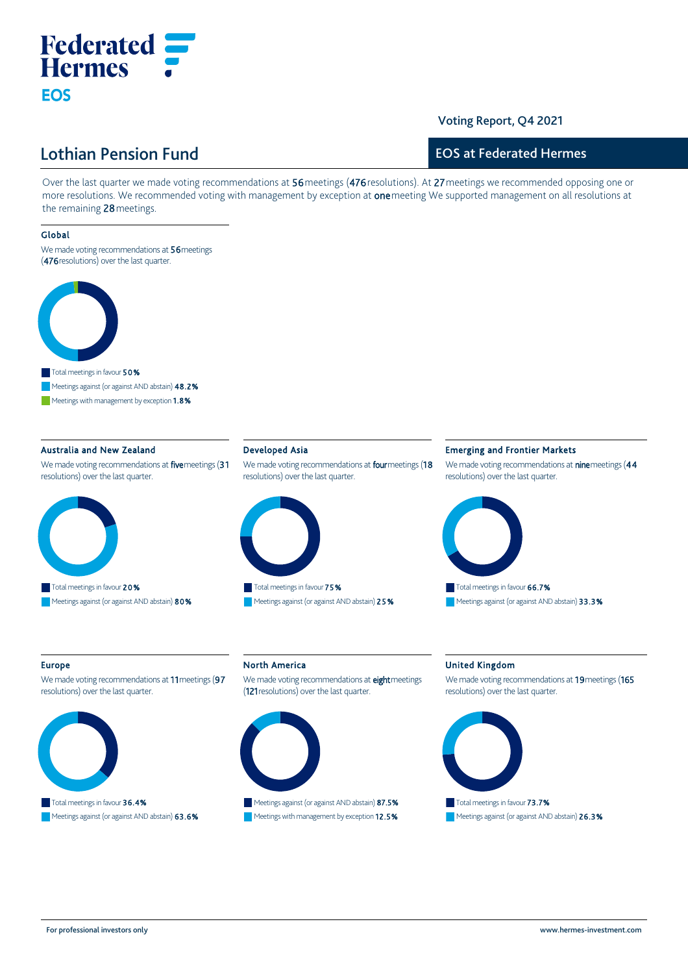# **Federated :: Hermes** *:* Eos

# Voting Report, Q4 2021

# Lothian Pension Fund

# EOS at Federated Hermes

Over the last quarter we made voting recommendations at 56 meetings (476 resolutions). At 27 meetings we recommended opposing one or more resolutions. We recommended voting with management by exception at one meeting We supported management on all resolutions at the remaining 28 meetings.

## Global

We made voting recommendations at 56 meetings (476 resolutions) over the last quarter.



■■ Meetings against (or against AND abstain) 48.2%

■ Meetings with management by exception 1.8%

# Australia and New Zealand

We made voting recommendations at five meetings (31 resolutions) over the last quarter.



#### Developed Asia

We made voting recommendations at **four** meetings (18 resolutions) over the last quarter.



■ Todarmeedings in favour 7 5 %<br>■ Meetings against (or against AND abstain) 2 5 % ■

#### Emerging and Frontier Markets

We made voting recommendations at **nine** meetings (44 resolutions) over the last quarter.



#### Europe

We made voting recommendations at 11 meetings (97 resolutions) over the last quarter.



# ■ Total meetings in favour **36.4%**

■ Meetings against (or against AND abstain) 63.6%

# North America

We made voting recommendations at eight meetings (121 resolutions) over the last quarter.



■ Meetings against (or against AND abstain) 87.5% ■ Meetings with management by exception **12.5%** 

#### United Kingdom

We made voting recommendations at 19 meetings (165 resolutions) over the last quarter.



■ Meetings against (or against AND abstain) 26.3%